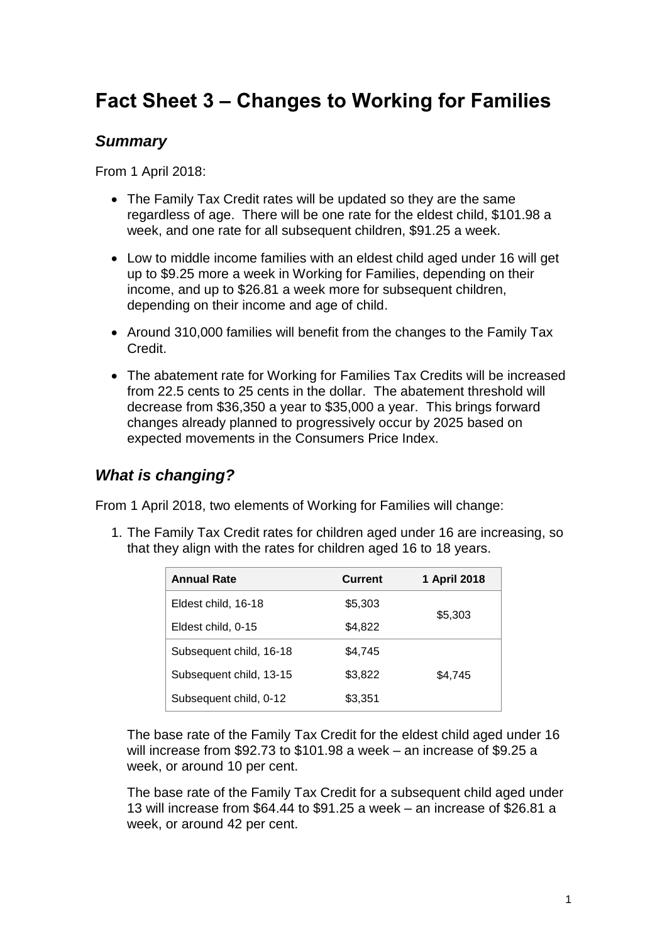# **Fact Sheet 3 – Changes to Working for Families**

### *Summary*

From 1 April 2018:

- The Family Tax Credit rates will be updated so they are the same regardless of age. There will be one rate for the eldest child, \$101.98 a week, and one rate for all subsequent children, \$91.25 a week.
- Low to middle income families with an eldest child aged under 16 will get up to \$9.25 more a week in Working for Families, depending on their income, and up to \$26.81 a week more for subsequent children, depending on their income and age of child.
- Around 310,000 families will benefit from the changes to the Family Tax Credit.
- The abatement rate for Working for Families Tax Credits will be increased from 22.5 cents to 25 cents in the dollar. The abatement threshold will decrease from \$36,350 a year to \$35,000 a year. This brings forward changes already planned to progressively occur by 2025 based on expected movements in the Consumers Price Index.

# *What is changing?*

From 1 April 2018, two elements of Working for Families will change:

1. The Family Tax Credit rates for children aged under 16 are increasing, so that they align with the rates for children aged 16 to 18 years.

| <b>Annual Rate</b>      | <b>Current</b> | 1 April 2018 |  |  |
|-------------------------|----------------|--------------|--|--|
| Eldest child, 16-18     | \$5,303        | \$5,303      |  |  |
| Eldest child, 0-15      | \$4,822        |              |  |  |
| Subsequent child, 16-18 | \$4.745        |              |  |  |
| Subsequent child, 13-15 | \$3,822        | \$4.745      |  |  |
| Subsequent child, 0-12  | \$3,351        |              |  |  |

The base rate of the Family Tax Credit for the eldest child aged under 16 will increase from \$92.73 to \$101.98 a week – an increase of \$9.25 a week, or around 10 per cent.

The base rate of the Family Tax Credit for a subsequent child aged under 13 will increase from \$64.44 to \$91.25 a week – an increase of \$26.81 a week, or around 42 per cent.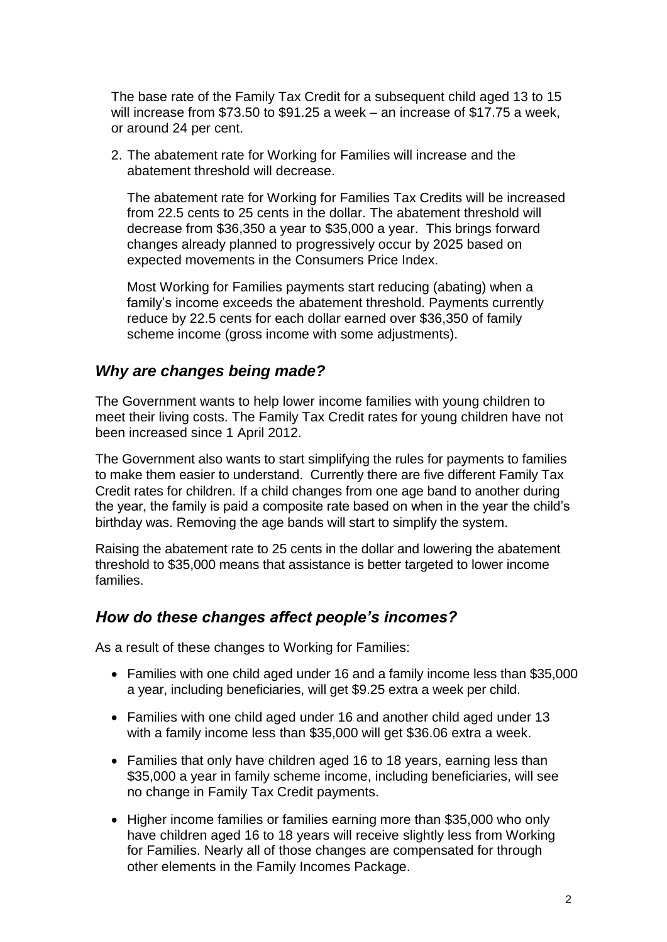The base rate of the Family Tax Credit for a subsequent child aged 13 to 15 will increase from \$73.50 to \$91.25 a week – an increase of \$17.75 a week, or around 24 per cent.

2. The abatement rate for Working for Families will increase and the abatement threshold will decrease.

The abatement rate for Working for Families Tax Credits will be increased from 22.5 cents to 25 cents in the dollar. The abatement threshold will decrease from \$36,350 a year to \$35,000 a year. This brings forward changes already planned to progressively occur by 2025 based on expected movements in the Consumers Price Index.

Most Working for Families payments start reducing (abating) when a family's income exceeds the abatement threshold. Payments currently reduce by 22.5 cents for each dollar earned over \$36,350 of family scheme income (gross income with some adjustments).

#### *Why are changes being made?*

The Government wants to help lower income families with young children to meet their living costs. The Family Tax Credit rates for young children have not been increased since 1 April 2012.

The Government also wants to start simplifying the rules for payments to families to make them easier to understand. Currently there are five different Family Tax Credit rates for children. If a child changes from one age band to another during the year, the family is paid a composite rate based on when in the year the child's birthday was. Removing the age bands will start to simplify the system.

Raising the abatement rate to 25 cents in the dollar and lowering the abatement threshold to \$35,000 means that assistance is better targeted to lower income families.

#### *How do these changes affect people's incomes?*

As a result of these changes to Working for Families:

- Families with one child aged under 16 and a family income less than \$35,000 a year, including beneficiaries, will get \$9.25 extra a week per child.
- Families with one child aged under 16 and another child aged under 13 with a family income less than \$35,000 will get \$36.06 extra a week.
- Families that only have children aged 16 to 18 years, earning less than \$35,000 a year in family scheme income, including beneficiaries, will see no change in Family Tax Credit payments.
- Higher income families or families earning more than \$35,000 who only have children aged 16 to 18 years will receive slightly less from Working for Families. Nearly all of those changes are compensated for through other elements in the Family Incomes Package.